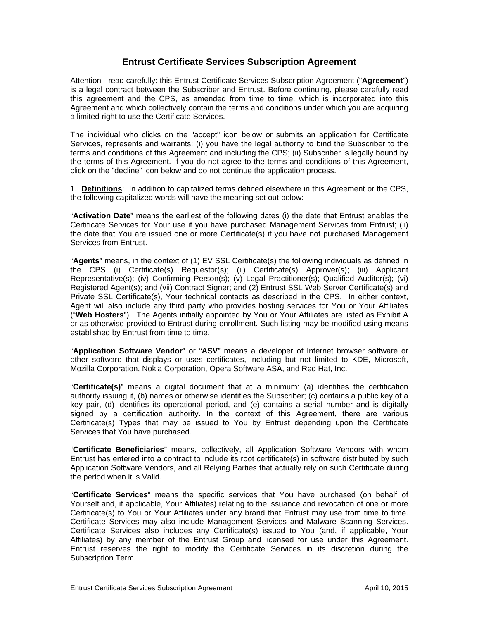# **Entrust Certificate Services Subscription Agreement**

Attention - read carefully: this Entrust Certificate Services Subscription Agreement ("**Agreement**") is a legal contract between the Subscriber and Entrust. Before continuing, please carefully read this agreement and the CPS, as amended from time to time, which is incorporated into this Agreement and which collectively contain the terms and conditions under which you are acquiring a limited right to use the Certificate Services.

The individual who clicks on the "accept" icon below or submits an application for Certificate Services, represents and warrants: (i) you have the legal authority to bind the Subscriber to the terms and conditions of this Agreement and including the CPS; (ii) Subscriber is legally bound by the terms of this Agreement. If you do not agree to the terms and conditions of this Agreement, click on the "decline" icon below and do not continue the application process.

1. **Definitions**: In addition to capitalized terms defined elsewhere in this Agreement or the CPS, the following capitalized words will have the meaning set out below:

"**Activation Date**" means the earliest of the following dates (i) the date that Entrust enables the Certificate Services for Your use if you have purchased Management Services from Entrust; (ii) the date that You are issued one or more Certificate(s) if you have not purchased Management Services from Entrust.

"**Agents**" means, in the context of (1) EV SSL Certificate(s) the following individuals as defined in the CPS (i) Certificate(s) Requestor(s); (ii) Certificate(s) Approver(s); (iii) Applicant Representative(s); (iv) Confirming Person(s); (v) Legal Practitioner(s); Qualified Auditor(s); (vi) Registered Agent(s); and (vii) Contract Signer; and (2) Entrust SSL Web Server Certificate(s) and Private SSL Certificate(s), Your technical contacts as described in the CPS. In either context, Agent will also include any third party who provides hosting services for You or Your Affiliates ("**Web Hosters**"). The Agents initially appointed by You or Your Affiliates are listed as Exhibit A or as otherwise provided to Entrust during enrollment. Such listing may be modified using means established by Entrust from time to time.

"**Application Software Vendor**" or "**ASV**" means a developer of Internet browser software or other software that displays or uses certificates, including but not limited to KDE, Microsoft, Mozilla Corporation, Nokia Corporation, Opera Software ASA, and Red Hat, Inc.

"**Certificate(s)**" means a digital document that at a minimum: (a) identifies the certification authority issuing it, (b) names or otherwise identifies the Subscriber; (c) contains a public key of a key pair, (d) identifies its operational period, and (e) contains a serial number and is digitally signed by a certification authority. In the context of this Agreement, there are various Certificate(s) Types that may be issued to You by Entrust depending upon the Certificate Services that You have purchased.

"**Certificate Beneficiaries**" means, collectively, all Application Software Vendors with whom Entrust has entered into a contract to include its root certificate(s) in software distributed by such Application Software Vendors, and all Relying Parties that actually rely on such Certificate during the period when it is Valid.

"**Certificate Services**" means the specific services that You have purchased (on behalf of Yourself and, if applicable, Your Affiliates) relating to the issuance and revocation of one or more Certificate(s) to You or Your Affiliates under any brand that Entrust may use from time to time. Certificate Services may also include Management Services and Malware Scanning Services. Certificate Services also includes any Certificate(s) issued to You (and, if applicable, Your Affiliates) by any member of the Entrust Group and licensed for use under this Agreement. Entrust reserves the right to modify the Certificate Services in its discretion during the Subscription Term.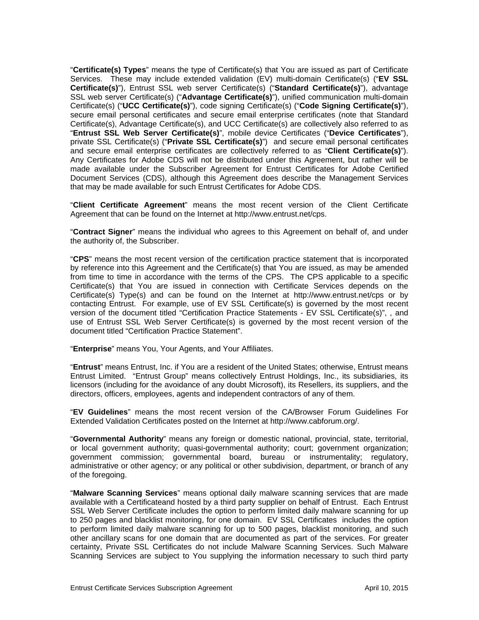"**Certificate(s) Types**" means the type of Certificate(s) that You are issued as part of Certificate Services. These may include extended validation (EV) multi-domain Certificate(s) ("**EV SSL Certificate(s)**"), Entrust SSL web server Certificate(s) ("**Standard Certificate(s)**"), advantage SSL web server Certificate(s) ("**Advantage Certificate(s)**"), unified communication multi-domain Certificate(s) ("**UCC Certificate(s)**"), code signing Certificate(s) ("**Code Signing Certificate(s)**"), secure email personal certificates and secure email enterprise certificates (note that Standard Certificate(s), Advantage Certificate(s), and UCC Certificate(s) are collectively also referred to as "**Entrust SSL Web Server Certificate(s)**", mobile device Certificates ("**Device Certificates**"), private SSL Certificate(s) ("**Private SSL Certificate(s)**") and secure email personal certificates and secure email enterprise certificates are collectively referred to as "**Client Certificate(s)**"). Any Certificates for Adobe CDS will not be distributed under this Agreement, but rather will be made available under the Subscriber Agreement for Entrust Certificates for Adobe Certified Document Services (CDS), although this Agreement does describe the Management Services that may be made available for such Entrust Certificates for Adobe CDS.

"**Client Certificate Agreement**" means the most recent version of the Client Certificate Agreement that can be found on the Internet at http://www.entrust.net/cps.

"**Contract Signer**" means the individual who agrees to this Agreement on behalf of, and under the authority of, the Subscriber.

"**CPS**" means the most recent version of the certification practice statement that is incorporated by reference into this Agreement and the Certificate(s) that You are issued, as may be amended from time to time in accordance with the terms of the CPS. The CPS applicable to a specific Certificate(s) that You are issued in connection with Certificate Services depends on the Certificate(s) Type(s) and can be found on the Internet at http://www.entrust.net/cps or by contacting Entrust. For example, use of EV SSL Certificate(s) is governed by the most recent version of the document titled "Certification Practice Statements - EV SSL Certificate(s)", , and use of Entrust SSL Web Server Certificate(s) is governed by the most recent version of the document titled "Certification Practice Statement".

"**Enterprise**" means You, Your Agents, and Your Affiliates.

"**Entrust**" means Entrust, Inc. if You are a resident of the United States; otherwise, Entrust means Entrust Limited. "Entrust Group" means collectively Entrust Holdings, Inc., its subsidiaries, its licensors (including for the avoidance of any doubt Microsoft), its Resellers, its suppliers, and the directors, officers, employees, agents and independent contractors of any of them.

"**EV Guidelines**" means the most recent version of the CA/Browser Forum Guidelines For Extended Validation Certificates posted on the Internet at http://www.cabforum.org/.

"**Governmental Authority**" means any foreign or domestic national, provincial, state, territorial, or local government authority; quasi-governmental authority; court; government organization; government commission; governmental board, bureau or instrumentality; regulatory, administrative or other agency; or any political or other subdivision, department, or branch of any of the foregoing.

"**Malware Scanning Services**" means optional daily malware scanning services that are made available with a Certificateand hosted by a third party supplier on behalf of Entrust. Each Entrust SSL Web Server Certificate includes the option to perform limited daily malware scanning for up to 250 pages and blacklist monitoring, for one domain. EV SSL Certificates includes the option to perform limited daily malware scanning for up to 500 pages, blacklist monitoring, and such other ancillary scans for one domain that are documented as part of the services. For greater certainty, Private SSL Certificates do not include Malware Scanning Services. Such Malware Scanning Services are subject to You supplying the information necessary to such third party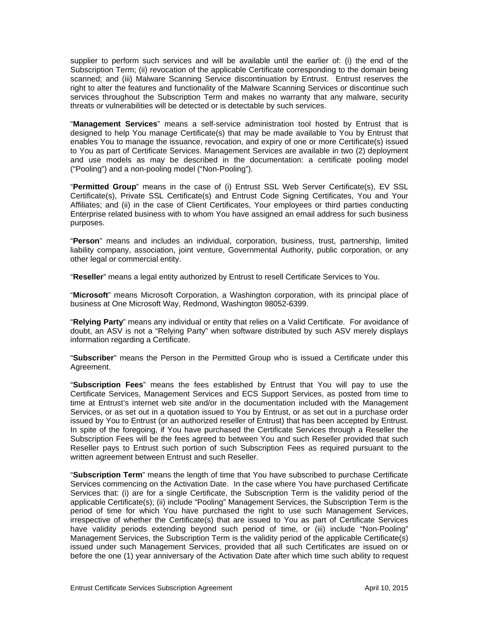supplier to perform such services and will be available until the earlier of: (i) the end of the Subscription Term; (ii) revocation of the applicable Certificate corresponding to the domain being scanned; and (iii) Malware Scanning Service discontinuation by Entrust. Entrust reserves the right to alter the features and functionality of the Malware Scanning Services or discontinue such services throughout the Subscription Term and makes no warranty that any malware, security threats or vulnerabilities will be detected or is detectable by such services.

"**Management Services**" means a self-service administration tool hosted by Entrust that is designed to help You manage Certificate(s) that may be made available to You by Entrust that enables You to manage the issuance, revocation, and expiry of one or more Certificate(s) issued to You as part of Certificate Services. Management Services are available in two (2) deployment and use models as may be described in the documentation: a certificate pooling model ("Pooling") and a non-pooling model ("Non-Pooling").

"**Permitted Group**" means in the case of (i) Entrust SSL Web Server Certificate(s), EV SSL Certificate(s), Private SSL Certificate(s) and Entrust Code Signing Certificates, You and Your Affiliates; and (ii) in the case of Client Certificates, Your employees or third parties conducting Enterprise related business with to whom You have assigned an email address for such business purposes.

"**Person**" means and includes an individual, corporation, business, trust, partnership, limited liability company, association, joint venture, Governmental Authority, public corporation, or any other legal or commercial entity.

"**Reseller**" means a legal entity authorized by Entrust to resell Certificate Services to You.

"**Microsoft**" means Microsoft Corporation, a Washington corporation, with its principal place of business at One Microsoft Way, Redmond, Washington 98052-6399.

"**Relying Party**" means any individual or entity that relies on a Valid Certificate. For avoidance of doubt, an ASV is not a "Relying Party" when software distributed by such ASV merely displays information regarding a Certificate.

"**Subscriber**" means the Person in the Permitted Group who is issued a Certificate under this Agreement.

"**Subscription Fees**" means the fees established by Entrust that You will pay to use the Certificate Services, Management Services and ECS Support Services, as posted from time to time at Entrust's internet web site and/or in the documentation included with the Management Services, or as set out in a quotation issued to You by Entrust, or as set out in a purchase order issued by You to Entrust (or an authorized reseller of Entrust) that has been accepted by Entrust. In spite of the foregoing, if You have purchased the Certificate Services through a Reseller the Subscription Fees will be the fees agreed to between You and such Reseller provided that such Reseller pays to Entrust such portion of such Subscription Fees as required pursuant to the written agreement between Entrust and such Reseller.

"**Subscription Term**" means the length of time that You have subscribed to purchase Certificate Services commencing on the Activation Date. In the case where You have purchased Certificate Services that: (i) are for a single Certificate, the Subscription Term is the validity period of the applicable Certificate(s); (ii) include "Pooling" Management Services, the Subscription Term is the period of time for which You have purchased the right to use such Management Services, irrespective of whether the Certificate(s) that are issued to You as part of Certificate Services have validity periods extending beyond such period of time, or (iii) include "Non-Pooling" Management Services, the Subscription Term is the validity period of the applicable Certificate(s) issued under such Management Services, provided that all such Certificates are issued on or before the one (1) year anniversary of the Activation Date after which time such ability to request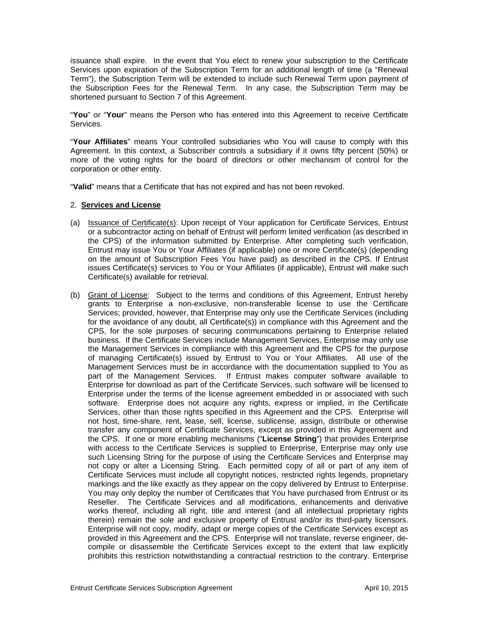issuance shall expire. In the event that You elect to renew your subscription to the Certificate Services upon expiration of the Subscription Term for an additional length of time (a "Renewal Term"), the Subscription Term will be extended to include such Renewal Term upon payment of the Subscription Fees for the Renewal Term. In any case, the Subscription Term may be shortened pursuant to Section 7 of this Agreement.

"**You**" or "**Your**" means the Person who has entered into this Agreement to receive Certificate Services.

"**Your Affiliates**" means Your controlled subsidiaries who You will cause to comply with this Agreement. In this context, a Subscriber controls a subsidiary if it owns fifty percent (50%) or more of the voting rights for the board of directors or other mechanism of control for the corporation or other entity.

"**Valid**" means that a Certificate that has not expired and has not been revoked.

#### 2. **Services and License**

- (a) Issuance of Certificate(s): Upon receipt of Your application for Certificate Services, Entrust or a subcontractor acting on behalf of Entrust will perform limited verification (as described in the CPS) of the information submitted by Enterprise. After completing such verification, Entrust may issue You or Your Affiliates (if applicable) one or more Certificate(s) (depending on the amount of Subscription Fees You have paid) as described in the CPS. If Entrust issues Certificate(s) services to You or Your Affiliates (if applicable), Entrust will make such Certificate(s) available for retrieval.
- (b) Grant of License: Subject to the terms and conditions of this Agreement, Entrust hereby grants to Enterprise a non-exclusive, non-transferable license to use the Certificate Services; provided, however, that Enterprise may only use the Certificate Services (including for the avoidance of any doubt, all Certificate(s)) in compliance with this Agreement and the CPS, for the sole purposes of securing communications pertaining to Enterprise related business. If the Certificate Services include Management Services, Enterprise may only use the Management Services in compliance with this Agreement and the CPS for the purpose of managing Certificate(s) issued by Entrust to You or Your Affiliates. All use of the Management Services must be in accordance with the documentation supplied to You as part of the Management Services. If Entrust makes computer software available to Enterprise for download as part of the Certificate Services, such software will be licensed to Enterprise under the terms of the license agreement embedded in or associated with such software. Enterprise does not acquire any rights, express or implied, in the Certificate Services, other than those rights specified in this Agreement and the CPS. Enterprise will not host, time-share, rent, lease, sell, license, sublicense, assign, distribute or otherwise transfer any component of Certificate Services, except as provided in this Agreement and the CPS. If one or more enabling mechanisms ("**License String**") that provides Enterprise with access to the Certificate Services is supplied to Enterprise, Enterprise may only use such Licensing String for the purpose of using the Certificate Services and Enterprise may not copy or alter a Licensing String. Each permitted copy of all or part of any item of Certificate Services must include all copyright notices, restricted rights legends, proprietary markings and the like exactly as they appear on the copy delivered by Entrust to Enterprise. You may only deploy the number of Certificates that You have purchased from Entrust or its Reseller. The Certificate Services and all modifications, enhancements and derivative works thereof, including all right, title and interest (and all intellectual proprietary rights therein) remain the sole and exclusive property of Entrust and/or its third-party licensors. Enterprise will not copy, modify, adapt or merge copies of the Certificate Services except as provided in this Agreement and the CPS. Enterprise will not translate, reverse engineer, decompile or disassemble the Certificate Services except to the extent that law explicitly prohibits this restriction notwithstanding a contractual restriction to the contrary. Enterprise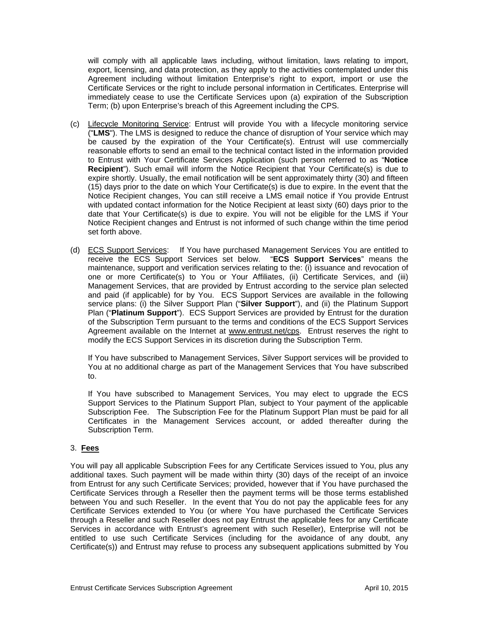will comply with all applicable laws including, without limitation, laws relating to import, export, licensing, and data protection, as they apply to the activities contemplated under this Agreement including without limitation Enterprise's right to export, import or use the Certificate Services or the right to include personal information in Certificates. Enterprise will immediately cease to use the Certificate Services upon (a) expiration of the Subscription Term; (b) upon Enterprise's breach of this Agreement including the CPS.

- (c) Lifecycle Monitoring Service: Entrust will provide You with a lifecycle monitoring service ("**LMS**"). The LMS is designed to reduce the chance of disruption of Your service which may be caused by the expiration of the Your Certificate(s). Entrust will use commercially reasonable efforts to send an email to the technical contact listed in the information provided to Entrust with Your Certificate Services Application (such person referred to as "**Notice Recipient**"). Such email will inform the Notice Recipient that Your Certificate(s) is due to expire shortly. Usually, the email notification will be sent approximately thirty (30) and fifteen (15) days prior to the date on which Your Certificate(s) is due to expire. In the event that the Notice Recipient changes, You can still receive a LMS email notice if You provide Entrust with updated contact information for the Notice Recipient at least sixty (60) days prior to the date that Your Certificate(s) is due to expire. You will not be eligible for the LMS if Your Notice Recipient changes and Entrust is not informed of such change within the time period set forth above.
- (d) ECS Support Services: If You have purchased Management Services You are entitled to receive the ECS Support Services set below. "**ECS Support Services**" means the maintenance, support and verification services relating to the: (i) issuance and revocation of one or more Certificate(s) to You or Your Affiliates, (ii) Certificate Services, and (iii) Management Services, that are provided by Entrust according to the service plan selected and paid (if applicable) for by You. ECS Support Services are available in the following service plans: (i) the Silver Support Plan ("**Silver Support**"), and (ii) the Platinum Support Plan ("**Platinum Support**"). ECS Support Services are provided by Entrust for the duration of the Subscription Term pursuant to the terms and conditions of the ECS Support Services Agreement available on the Internet at www.entrust.net/cps. Entrust reserves the right to modify the ECS Support Services in its discretion during the Subscription Term.

If You have subscribed to Management Services, Silver Support services will be provided to You at no additional charge as part of the Management Services that You have subscribed to.

If You have subscribed to Management Services, You may elect to upgrade the ECS Support Services to the Platinum Support Plan, subject to Your payment of the applicable Subscription Fee. The Subscription Fee for the Platinum Support Plan must be paid for all Certificates in the Management Services account, or added thereafter during the Subscription Term.

# 3. **Fees**

You will pay all applicable Subscription Fees for any Certificate Services issued to You, plus any additional taxes. Such payment will be made within thirty (30) days of the receipt of an invoice from Entrust for any such Certificate Services; provided, however that if You have purchased the Certificate Services through a Reseller then the payment terms will be those terms established between You and such Reseller. In the event that You do not pay the applicable fees for any Certificate Services extended to You (or where You have purchased the Certificate Services through a Reseller and such Reseller does not pay Entrust the applicable fees for any Certificate Services in accordance with Entrust's agreement with such Reseller), Enterprise will not be entitled to use such Certificate Services (including for the avoidance of any doubt, any Certificate(s)) and Entrust may refuse to process any subsequent applications submitted by You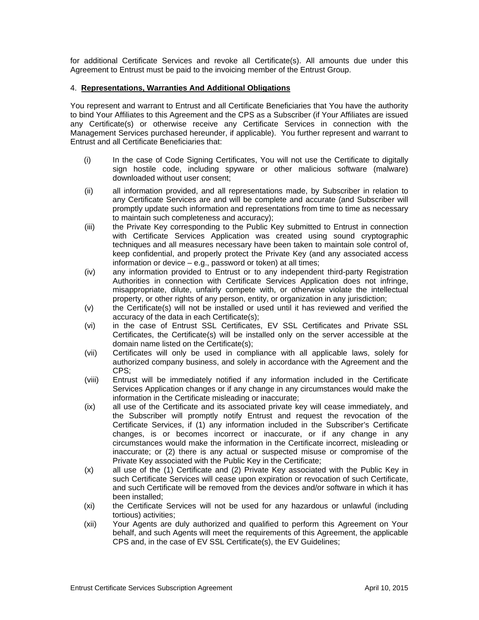for additional Certificate Services and revoke all Certificate(s). All amounts due under this Agreement to Entrust must be paid to the invoicing member of the Entrust Group.

#### 4. **Representations, Warranties And Additional Obligations**

You represent and warrant to Entrust and all Certificate Beneficiaries that You have the authority to bind Your Affiliates to this Agreement and the CPS as a Subscriber (if Your Affiliates are issued any Certificate(s) or otherwise receive any Certificate Services in connection with the Management Services purchased hereunder, if applicable). You further represent and warrant to Entrust and all Certificate Beneficiaries that:

- (i) In the case of Code Signing Certificates, You will not use the Certificate to digitally sign hostile code, including spyware or other malicious software (malware) downloaded without user consent;
- (ii) all information provided, and all representations made, by Subscriber in relation to any Certificate Services are and will be complete and accurate (and Subscriber will promptly update such information and representations from time to time as necessary to maintain such completeness and accuracy);
- (iii) the Private Key corresponding to the Public Key submitted to Entrust in connection with Certificate Services Application was created using sound cryptographic techniques and all measures necessary have been taken to maintain sole control of, keep confidential, and properly protect the Private Key (and any associated access information or device – e.g., password or token) at all times;
- (iv) any information provided to Entrust or to any independent third-party Registration Authorities in connection with Certificate Services Application does not infringe, misappropriate, dilute, unfairly compete with, or otherwise violate the intellectual property, or other rights of any person, entity, or organization in any jurisdiction;
- (v) the Certificate(s) will not be installed or used until it has reviewed and verified the accuracy of the data in each Certificate(s);
- (vi) in the case of Entrust SSL Certificates, EV SSL Certificates and Private SSL Certificates, the Certificate(s) will be installed only on the server accessible at the domain name listed on the Certificate(s);
- (vii) Certificates will only be used in compliance with all applicable laws, solely for authorized company business, and solely in accordance with the Agreement and the CPS;
- (viii) Entrust will be immediately notified if any information included in the Certificate Services Application changes or if any change in any circumstances would make the information in the Certificate misleading or inaccurate;
- (ix) all use of the Certificate and its associated private key will cease immediately, and the Subscriber will promptly notify Entrust and request the revocation of the Certificate Services, if (1) any information included in the Subscriber's Certificate changes, is or becomes incorrect or inaccurate, or if any change in any circumstances would make the information in the Certificate incorrect, misleading or inaccurate; or (2) there is any actual or suspected misuse or compromise of the Private Key associated with the Public Key in the Certificate;
- (x) all use of the (1) Certificate and (2) Private Key associated with the Public Key in such Certificate Services will cease upon expiration or revocation of such Certificate, and such Certificate will be removed from the devices and/or software in which it has been installed;
- (xi) the Certificate Services will not be used for any hazardous or unlawful (including tortious) activities;
- (xii) Your Agents are duly authorized and qualified to perform this Agreement on Your behalf, and such Agents will meet the requirements of this Agreement, the applicable CPS and, in the case of EV SSL Certificate(s), the EV Guidelines;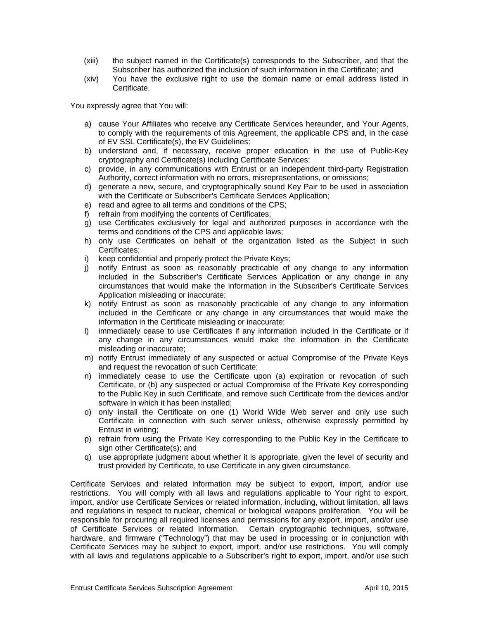- (xiii) the subject named in the Certificate(s) corresponds to the Subscriber, and that the Subscriber has authorized the inclusion of such information in the Certificate; and
- (xiv) You have the exclusive right to use the domain name or email address listed in Certificate.

You expressly agree that You will:

- a) cause Your Affiliates who receive any Certificate Services hereunder, and Your Agents, to comply with the requirements of this Agreement, the applicable CPS and, in the case of EV SSL Certificate(s), the EV Guidelines;
- b) understand and, if necessary, receive proper education in the use of Public-Key cryptography and Certificate(s) including Certificate Services;
- c) provide, in any communications with Entrust or an independent third-party Registration Authority, correct information with no errors, misrepresentations, or omissions;
- d) generate a new, secure, and cryptographically sound Key Pair to be used in association with the Certificate or Subscriber's Certificate Services Application;
- e) read and agree to all terms and conditions of the CPS;
- f) refrain from modifying the contents of Certificates;
- g) use Certificates exclusively for legal and authorized purposes in accordance with the terms and conditions of the CPS and applicable laws;
- h) only use Certificates on behalf of the organization listed as the Subject in such Certificates;
- i) keep confidential and properly protect the Private Keys;<br>i) notify Entrust as soon as reasonably practicable of
- notify Entrust as soon as reasonably practicable of any change to any information included in the Subscriber's Certificate Services Application or any change in any circumstances that would make the information in the Subscriber's Certificate Services Application misleading or inaccurate;
- k) notify Entrust as soon as reasonably practicable of any change to any information included in the Certificate or any change in any circumstances that would make the information in the Certificate misleading or inaccurate;
- l) immediately cease to use Certificates if any information included in the Certificate or if any change in any circumstances would make the information in the Certificate misleading or inaccurate;
- m) notify Entrust immediately of any suspected or actual Compromise of the Private Keys and request the revocation of such Certificate;
- n) immediately cease to use the Certificate upon (a) expiration or revocation of such Certificate, or (b) any suspected or actual Compromise of the Private Key corresponding to the Public Key in such Certificate, and remove such Certificate from the devices and/or software in which it has been installed;
- o) only install the Certificate on one (1) World Wide Web server and only use such Certificate in connection with such server unless, otherwise expressly permitted by Entrust in writing;
- p) refrain from using the Private Key corresponding to the Public Key in the Certificate to sign other Certificate(s); and
- q) use appropriate judgment about whether it is appropriate, given the level of security and trust provided by Certificate, to use Certificate in any given circumstance.

Certificate Services and related information may be subject to export, import, and/or use restrictions. You will comply with all laws and regulations applicable to Your right to export, import, and/or use Certificate Services or related information, including, without limitation, all laws and regulations in respect to nuclear, chemical or biological weapons proliferation. You will be responsible for procuring all required licenses and permissions for any export, import, and/or use of Certificate Services or related information. Certain cryptographic techniques, software, hardware, and firmware ("Technology") that may be used in processing or in conjunction with Certificate Services may be subject to export, import, and/or use restrictions. You will comply with all laws and regulations applicable to a Subscriber's right to export, import, and/or use such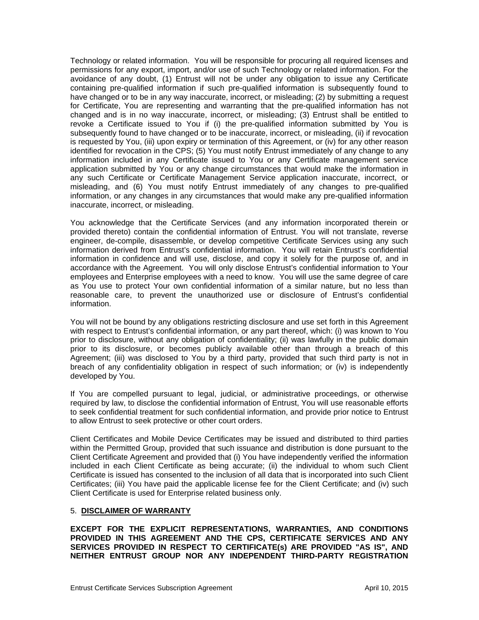Technology or related information. You will be responsible for procuring all required licenses and permissions for any export, import, and/or use of such Technology or related information. For the avoidance of any doubt, (1) Entrust will not be under any obligation to issue any Certificate containing pre-qualified information if such pre-qualified information is subsequently found to have changed or to be in any way inaccurate, incorrect, or misleading; (2) by submitting a request for Certificate, You are representing and warranting that the pre-qualified information has not changed and is in no way inaccurate, incorrect, or misleading; (3) Entrust shall be entitled to revoke a Certificate issued to You if (i) the pre-qualified information submitted by You is subsequently found to have changed or to be inaccurate, incorrect, or misleading, (ii) if revocation is requested by You, (iii) upon expiry or termination of this Agreement, or (iv) for any other reason identified for revocation in the CPS; (5) You must notify Entrust immediately of any change to any information included in any Certificate issued to You or any Certificate management service application submitted by You or any change circumstances that would make the information in any such Certificate or Certificate Management Service application inaccurate, incorrect, or misleading, and (6) You must notify Entrust immediately of any changes to pre-qualified information, or any changes in any circumstances that would make any pre-qualified information inaccurate, incorrect, or misleading.

You acknowledge that the Certificate Services (and any information incorporated therein or provided thereto) contain the confidential information of Entrust. You will not translate, reverse engineer, de-compile, disassemble, or develop competitive Certificate Services using any such information derived from Entrust's confidential information. You will retain Entrust's confidential information in confidence and will use, disclose, and copy it solely for the purpose of, and in accordance with the Agreement. You will only disclose Entrust's confidential information to Your employees and Enterprise employees with a need to know. You will use the same degree of care as You use to protect Your own confidential information of a similar nature, but no less than reasonable care, to prevent the unauthorized use or disclosure of Entrust's confidential information.

You will not be bound by any obligations restricting disclosure and use set forth in this Agreement with respect to Entrust's confidential information, or any part thereof, which: (i) was known to You prior to disclosure, without any obligation of confidentiality; (ii) was lawfully in the public domain prior to its disclosure, or becomes publicly available other than through a breach of this Agreement; (iii) was disclosed to You by a third party, provided that such third party is not in breach of any confidentiality obligation in respect of such information; or (iv) is independently developed by You.

If You are compelled pursuant to legal, judicial, or administrative proceedings, or otherwise required by law, to disclose the confidential information of Entrust, You will use reasonable efforts to seek confidential treatment for such confidential information, and provide prior notice to Entrust to allow Entrust to seek protective or other court orders.

Client Certificates and Mobile Device Certificates may be issued and distributed to third parties within the Permitted Group, provided that such issuance and distribution is done pursuant to the Client Certificate Agreement and provided that (i) You have independently verified the information included in each Client Certificate as being accurate; (ii) the individual to whom such Client Certificate is issued has consented to the inclusion of all data that is incorporated into such Client Certificates; (iii) You have paid the applicable license fee for the Client Certificate; and (iv) such Client Certificate is used for Enterprise related business only.

#### 5. **DISCLAIMER OF WARRANTY**

**EXCEPT FOR THE EXPLICIT REPRESENTATIONS, WARRANTIES, AND CONDITIONS PROVIDED IN THIS AGREEMENT AND THE CPS, CERTIFICATE SERVICES AND ANY SERVICES PROVIDED IN RESPECT TO CERTIFICATE(s) ARE PROVIDED "AS IS", AND NEITHER ENTRUST GROUP NOR ANY INDEPENDENT THIRD-PARTY REGISTRATION**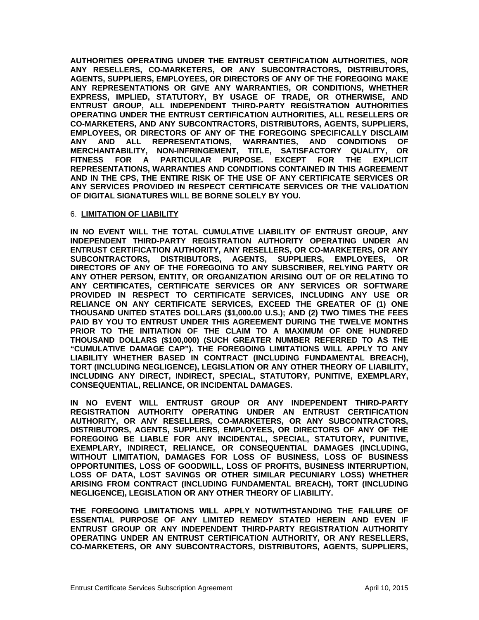**AUTHORITIES OPERATING UNDER THE ENTRUST CERTIFICATION AUTHORITIES, NOR ANY RESELLERS, CO-MARKETERS, OR ANY SUBCONTRACTORS, DISTRIBUTORS, AGENTS, SUPPLIERS, EMPLOYEES, OR DIRECTORS OF ANY OF THE FOREGOING MAKE ANY REPRESENTATIONS OR GIVE ANY WARRANTIES, OR CONDITIONS, WHETHER EXPRESS, IMPLIED, STATUTORY, BY USAGE OF TRADE, OR OTHERWISE, AND ENTRUST GROUP, ALL INDEPENDENT THIRD-PARTY REGISTRATION AUTHORITIES OPERATING UNDER THE ENTRUST CERTIFICATION AUTHORITIES, ALL RESELLERS OR CO-MARKETERS, AND ANY SUBCONTRACTORS, DISTRIBUTORS, AGENTS, SUPPLIERS, EMPLOYEES, OR DIRECTORS OF ANY OF THE FOREGOING SPECIFICALLY DISCLAIM ANY AND ALL REPRESENTATIONS, WARRANTIES, AND CONDITIONS OF MERCHANTABILITY, NON-INFRINGEMENT, TITLE, SATISFACTORY QUALITY, OR FITNESS FOR A PARTICULAR PURPOSE. EXCEPT FOR THE EXPLICIT REPRESENTATIONS, WARRANTIES AND CONDITIONS CONTAINED IN THIS AGREEMENT AND IN THE CPS, THE ENTIRE RISK OF THE USE OF ANY CERTIFICATE SERVICES OR ANY SERVICES PROVIDED IN RESPECT CERTIFICATE SERVICES OR THE VALIDATION OF DIGITAL SIGNATURES WILL BE BORNE SOLELY BY YOU.**

#### 6. **LIMITATION OF LIABILITY**

**IN NO EVENT WILL THE TOTAL CUMULATIVE LIABILITY OF ENTRUST GROUP, ANY INDEPENDENT THIRD-PARTY REGISTRATION AUTHORITY OPERATING UNDER AN ENTRUST CERTIFICATION AUTHORITY, ANY RESELLERS, OR CO-MARKETERS, OR ANY SUBCONTRACTORS, DISTRIBUTORS, AGENTS, SUPPLIERS, EMPLOYEES, OR DIRECTORS OF ANY OF THE FOREGOING TO ANY SUBSCRIBER, RELYING PARTY OR ANY OTHER PERSON, ENTITY, OR ORGANIZATION ARISING OUT OF OR RELATING TO ANY CERTIFICATES, CERTIFICATE SERVICES OR ANY SERVICES OR SOFTWARE PROVIDED IN RESPECT TO CERTIFICATE SERVICES, INCLUDING ANY USE OR RELIANCE ON ANY CERTIFICATE SERVICES, EXCEED THE GREATER OF (1) ONE THOUSAND UNITED STATES DOLLARS (\$1,000.00 U.S.); AND (2) TWO TIMES THE FEES PAID BY YOU TO ENTRUST UNDER THIS AGREEMENT DURING THE TWELVE MONTHS PRIOR TO THE INITIATION OF THE CLAIM TO A MAXIMUM OF ONE HUNDRED THOUSAND DOLLARS (\$100,000) (SUCH GREATER NUMBER REFERRED TO AS THE "CUMULATIVE DAMAGE CAP"). THE FOREGOING LIMITATIONS WILL APPLY TO ANY LIABILITY WHETHER BASED IN CONTRACT (INCLUDING FUNDAMENTAL BREACH), TORT (INCLUDING NEGLIGENCE), LEGISLATION OR ANY OTHER THEORY OF LIABILITY, INCLUDING ANY DIRECT, INDIRECT, SPECIAL, STATUTORY, PUNITIVE, EXEMPLARY, CONSEQUENTIAL, RELIANCE, OR INCIDENTAL DAMAGES.** 

**IN NO EVENT WILL ENTRUST GROUP OR ANY INDEPENDENT THIRD-PARTY REGISTRATION AUTHORITY OPERATING UNDER AN ENTRUST CERTIFICATION AUTHORITY, OR ANY RESELLERS, CO-MARKETERS, OR ANY SUBCONTRACTORS, DISTRIBUTORS, AGENTS, SUPPLIERS, EMPLOYEES, OR DIRECTORS OF ANY OF THE FOREGOING BE LIABLE FOR ANY INCIDENTAL, SPECIAL, STATUTORY, PUNITIVE, EXEMPLARY, INDIRECT, RELIANCE, OR CONSEQUENTIAL DAMAGES (INCLUDING, WITHOUT LIMITATION, DAMAGES FOR LOSS OF BUSINESS, LOSS OF BUSINESS OPPORTUNITIES, LOSS OF GOODWILL, LOSS OF PROFITS, BUSINESS INTERRUPTION, LOSS OF DATA, LOST SAVINGS OR OTHER SIMILAR PECUNIARY LOSS) WHETHER ARISING FROM CONTRACT (INCLUDING FUNDAMENTAL BREACH), TORT (INCLUDING NEGLIGENCE), LEGISLATION OR ANY OTHER THEORY OF LIABILITY.** 

**THE FOREGOING LIMITATIONS WILL APPLY NOTWITHSTANDING THE FAILURE OF ESSENTIAL PURPOSE OF ANY LIMITED REMEDY STATED HEREIN AND EVEN IF ENTRUST GROUP OR ANY INDEPENDENT THIRD-PARTY REGISTRATION AUTHORITY OPERATING UNDER AN ENTRUST CERTIFICATION AUTHORITY, OR ANY RESELLERS, CO-MARKETERS, OR ANY SUBCONTRACTORS, DISTRIBUTORS, AGENTS, SUPPLIERS,**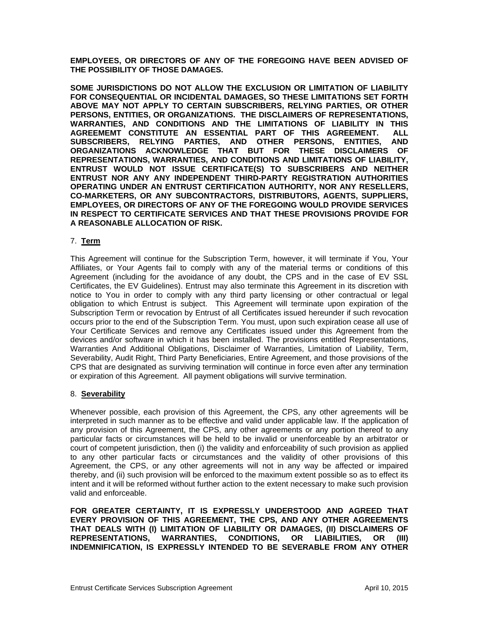**EMPLOYEES, OR DIRECTORS OF ANY OF THE FOREGOING HAVE BEEN ADVISED OF THE POSSIBILITY OF THOSE DAMAGES.** 

**SOME JURISDICTIONS DO NOT ALLOW THE EXCLUSION OR LIMITATION OF LIABILITY FOR CONSEQUENTIAL OR INCIDENTAL DAMAGES, SO THESE LIMITATIONS SET FORTH ABOVE MAY NOT APPLY TO CERTAIN SUBSCRIBERS, RELYING PARTIES, OR OTHER PERSONS, ENTITIES, OR ORGANIZATIONS. THE DISCLAIMERS OF REPRESENTATIONS, WARRANTIES, AND CONDITIONS AND THE LIMITATIONS OF LIABILITY IN THIS AGREEMEMT CONSTITUTE AN ESSENTIAL PART OF THIS AGREEMENT. ALL SUBSCRIBERS, RELYING PARTIES, AND OTHER PERSONS, ENTITIES, AND ORGANIZATIONS ACKNOWLEDGE THAT BUT FOR THESE DISCLAIMERS OF REPRESENTATIONS, WARRANTIES, AND CONDITIONS AND LIMITATIONS OF LIABILITY, ENTRUST WOULD NOT ISSUE CERTIFICATE(S) TO SUBSCRIBERS AND NEITHER ENTRUST NOR ANY ANY INDEPENDENT THIRD-PARTY REGISTRATION AUTHORITIES OPERATING UNDER AN ENTRUST CERTIFICATION AUTHORITY, NOR ANY RESELLERS, CO-MARKETERS, OR ANY SUBCONTRACTORS, DISTRIBUTORS, AGENTS, SUPPLIERS, EMPLOYEES, OR DIRECTORS OF ANY OF THE FOREGOING WOULD PROVIDE SERVICES IN RESPECT TO CERTIFICATE SERVICES AND THAT THESE PROVISIONS PROVIDE FOR A REASONABLE ALLOCATION OF RISK.** 

# 7. **Term**

This Agreement will continue for the Subscription Term, however, it will terminate if You, Your Affiliates, or Your Agents fail to comply with any of the material terms or conditions of this Agreement (including for the avoidance of any doubt, the CPS and in the case of EV SSL Certificates, the EV Guidelines). Entrust may also terminate this Agreement in its discretion with notice to You in order to comply with any third party licensing or other contractual or legal obligation to which Entrust is subject. This Agreement will terminate upon expiration of the Subscription Term or revocation by Entrust of all Certificates issued hereunder if such revocation occurs prior to the end of the Subscription Term. You must, upon such expiration cease all use of Your Certificate Services and remove any Certificates issued under this Agreement from the devices and/or software in which it has been installed. The provisions entitled Representations, Warranties And Additional Obligations, Disclaimer of Warranties, Limitation of Liability, Term, Severability, Audit Right, Third Party Beneficiaries, Entire Agreement, and those provisions of the CPS that are designated as surviving termination will continue in force even after any termination or expiration of this Agreement. All payment obligations will survive termination.

#### 8. **Severability**

Whenever possible, each provision of this Agreement, the CPS, any other agreements will be interpreted in such manner as to be effective and valid under applicable law. If the application of any provision of this Agreement, the CPS, any other agreements or any portion thereof to any particular facts or circumstances will be held to be invalid or unenforceable by an arbitrator or court of competent jurisdiction, then (i) the validity and enforceability of such provision as applied to any other particular facts or circumstances and the validity of other provisions of this Agreement, the CPS, or any other agreements will not in any way be affected or impaired thereby, and (ii) such provision will be enforced to the maximum extent possible so as to effect its intent and it will be reformed without further action to the extent necessary to make such provision valid and enforceable.

**FOR GREATER CERTAINTY, IT IS EXPRESSLY UNDERSTOOD AND AGREED THAT EVERY PROVISION OF THIS AGREEMENT, THE CPS, AND ANY OTHER AGREEMENTS THAT DEALS WITH (I) LIMITATION OF LIABILITY OR DAMAGES, (II) DISCLAIMERS OF REPRESENTATIONS, WARRANTIES, CONDITIONS, OR LIABILITIES, OR (III) INDEMNIFICATION, IS EXPRESSLY INTENDED TO BE SEVERABLE FROM ANY OTHER**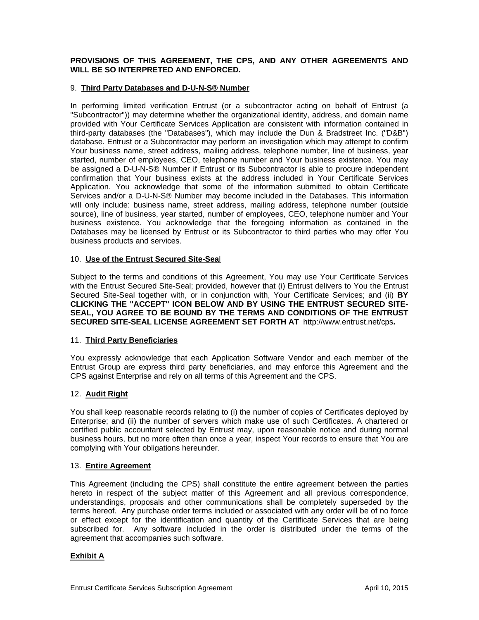#### **PROVISIONS OF THIS AGREEMENT, THE CPS, AND ANY OTHER AGREEMENTS AND WILL BE SO INTERPRETED AND ENFORCED.**

#### 9. **Third Party Databases and D-U-N-S® Number**

In performing limited verification Entrust (or a subcontractor acting on behalf of Entrust (a "Subcontractor")) may determine whether the organizational identity, address, and domain name provided with Your Certificate Services Application are consistent with information contained in third-party databases (the "Databases"), which may include the Dun & Bradstreet Inc. ("D&B") database. Entrust or a Subcontractor may perform an investigation which may attempt to confirm Your business name, street address, mailing address, telephone number, line of business, year started, number of employees, CEO, telephone number and Your business existence. You may be assigned a D-U-N-S® Number if Entrust or its Subcontractor is able to procure independent confirmation that Your business exists at the address included in Your Certificate Services Application. You acknowledge that some of the information submitted to obtain Certificate Services and/or a D-U-N-S® Number may become included in the Databases. This information will only include: business name, street address, mailing address, telephone number (outside source), line of business, year started, number of employees, CEO, telephone number and Your business existence. You acknowledge that the foregoing information as contained in the Databases may be licensed by Entrust or its Subcontractor to third parties who may offer You business products and services.

#### 10. **Use of the Entrust Secured Site-Sea**l

Subject to the terms and conditions of this Agreement, You may use Your Certificate Services with the Entrust Secured Site-Seal; provided, however that (i) Entrust delivers to You the Entrust Secured Site-Seal together with, or in conjunction with, Your Certificate Services; and (ii) **BY CLICKING THE "ACCEPT" ICON BELOW AND BY USING THE ENTRUST SECURED SITE-SEAL, YOU AGREE TO BE BOUND BY THE TERMS AND CONDITIONS OF THE ENTRUST SECURED SITE-SEAL LICENSE AGREEMENT SET FORTH AT** http://www.entrust.net/cps**.**

# 11. **Third Party Beneficiaries**

You expressly acknowledge that each Application Software Vendor and each member of the Entrust Group are express third party beneficiaries, and may enforce this Agreement and the CPS against Enterprise and rely on all terms of this Agreement and the CPS.

# 12. **Audit Right**

You shall keep reasonable records relating to (i) the number of copies of Certificates deployed by Enterprise; and (ii) the number of servers which make use of such Certificates. A chartered or certified public accountant selected by Entrust may, upon reasonable notice and during normal business hours, but no more often than once a year, inspect Your records to ensure that You are complying with Your obligations hereunder.

#### 13. **Entire Agreement**

This Agreement (including the CPS) shall constitute the entire agreement between the parties hereto in respect of the subject matter of this Agreement and all previous correspondence, understandings, proposals and other communications shall be completely superseded by the terms hereof. Any purchase order terms included or associated with any order will be of no force or effect except for the identification and quantity of the Certificate Services that are being subscribed for. Any software included in the order is distributed under the terms of the agreement that accompanies such software.

# **Exhibit A**